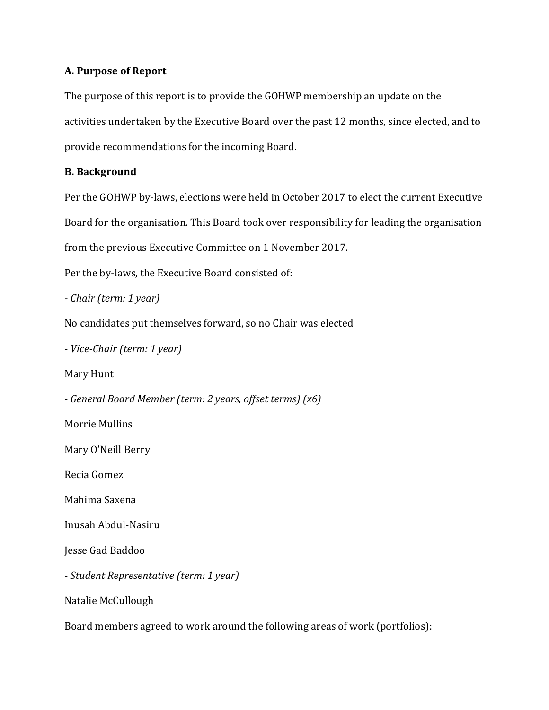## **A. Purpose of Report**

The purpose of this report is to provide the GOHWP membership an update on the activities undertaken by the Executive Board over the past 12 months, since elected, and to provide recommendations for the incoming Board.

## **B. Background**

Per the GOHWP by-laws, elections were held in October 2017 to elect the current Executive Board for the organisation. This Board took over responsibility for leading the organisation from the previous Executive Committee on 1 November 2017.

Per the by-laws, the Executive Board consisted of:

*- Chair (term: 1 year)* 

No candidates put themselves forward, so no Chair was elected

*- Vice-Chair (term: 1 year)* 

Mary Hunt

*- General Board Member (term: 2 years, offset terms) (x6)* 

Morrie Mullins

Mary O'Neill Berry

Recia Gomez

Mahima Saxena

Inusah Abdul-Nasiru

Jesse Gad Baddoo

*- Student Representative (term: 1 year)* 

Natalie McCullough

Board members agreed to work around the following areas of work (portfolios):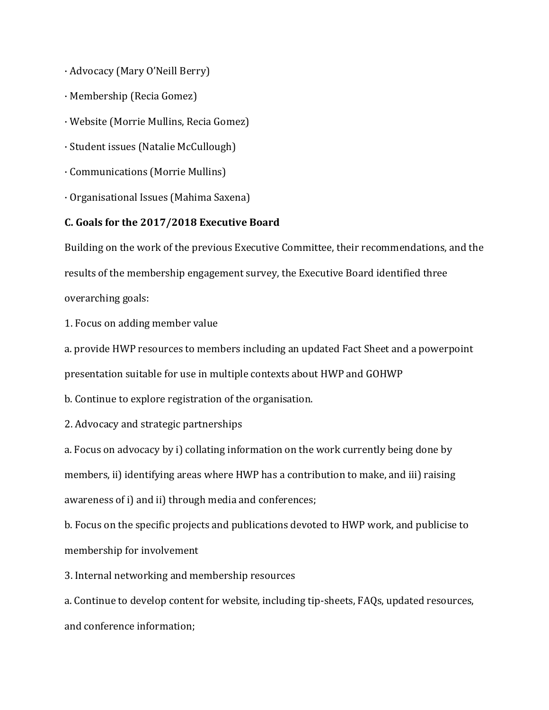- · Advocacy (Mary O'Neill Berry)
- · Membership (Recia Gomez)
- · Website (Morrie Mullins, Recia Gomez)
- · Student issues (Natalie McCullough)
- · Communications (Morrie Mullins)
- · Organisational Issues (Mahima Saxena)

### **C. Goals for the 2017/2018 Executive Board**

Building on the work of the previous Executive Committee, their recommendations, and the results of the membership engagement survey, the Executive Board identified three overarching goals:

1. Focus on adding member value

a. provide HWP resources to members including an updated Fact Sheet and a powerpoint presentation suitable for use in multiple contexts about HWP and GOHWP

b. Continue to explore registration of the organisation.

2. Advocacy and strategic partnerships

a. Focus on advocacy by i) collating information on the work currently being done by members, ii) identifying areas where HWP has a contribution to make, and iii) raising awareness of i) and ii) through media and conferences;

b. Focus on the specific projects and publications devoted to HWP work, and publicise to membership for involvement

3. Internal networking and membership resources

a. Continue to develop content for website, including tip-sheets, FAQs, updated resources, and conference information;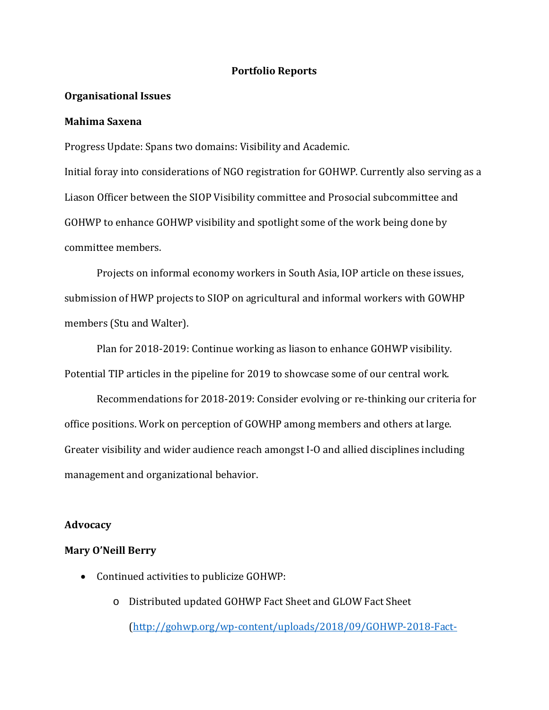### **Portfolio Reports**

#### **Organisational Issues**

### **Mahima Saxena**

Progress Update: Spans two domains: Visibility and Academic.

Initial foray into considerations of NGO registration for GOHWP. Currently also serving as a Liason Officer between the SIOP Visibility committee and Prosocial subcommittee and GOHWP to enhance GOHWP visibility and spotlight some of the work being done by committee members.

Projects on informal economy workers in South Asia, IOP article on these issues, submission of HWP projects to SIOP on agricultural and informal workers with GOWHP members (Stu and Walter).

Plan for 2018-2019: Continue working as liason to enhance GOHWP visibility. Potential TIP articles in the pipeline for 2019 to showcase some of our central work.

Recommendations for 2018-2019: Consider evolving or re-thinking our criteria for office positions. Work on perception of GOWHP among members and others at large. Greater visibility and wider audience reach amongst I-O and allied disciplines including management and organizational behavior.

### **Advocacy**

#### **Mary O'Neill Berry**

- Continued activities to publicize GOHWP:
	- o Distributed updated GOHWP Fact Sheet and GLOW Fact Sheet [\(http://gohwp.org/wp-content/uploads/2018/09/GOHWP-2018-Fact-](http://gohwp.org/wp-content/uploads/2018/09/GOHWP-2018-Fact-Sheet.pdf)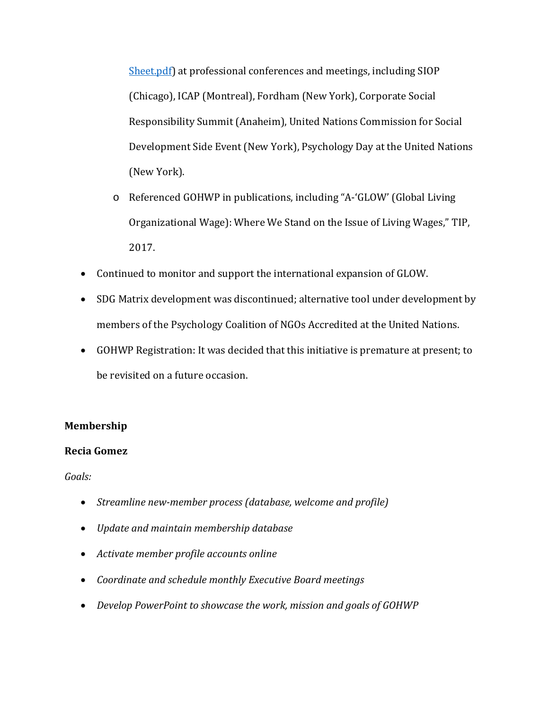[Sheet.pdf\)](http://gohwp.org/wp-content/uploads/2018/09/GOHWP-2018-Fact-Sheet.pdf) at professional conferences and meetings, including SIOP (Chicago), ICAP (Montreal), Fordham (New York), Corporate Social Responsibility Summit (Anaheim), United Nations Commission for Social Development Side Event (New York), Psychology Day at the United Nations (New York).

- o Referenced GOHWP in publications, including "A-'GLOW' (Global Living Organizational Wage): Where We Stand on the Issue of Living Wages," TIP, 2017.
- Continued to monitor and support the international expansion of GLOW.
- SDG Matrix development was discontinued; alternative tool under development by members of the Psychology Coalition of NGOs Accredited at the United Nations.
- GOHWP Registration: It was decided that this initiative is premature at present; to be revisited on a future occasion.

# **Membership**

### **Recia Gomez**

*Goals:*

- *Streamline new-member process (database, welcome and profile)*
- *Update and maintain membership database*
- *Activate member profile accounts online*
- *Coordinate and schedule monthly Executive Board meetings*
- *Develop PowerPoint to showcase the work, mission and goals of GOHWP*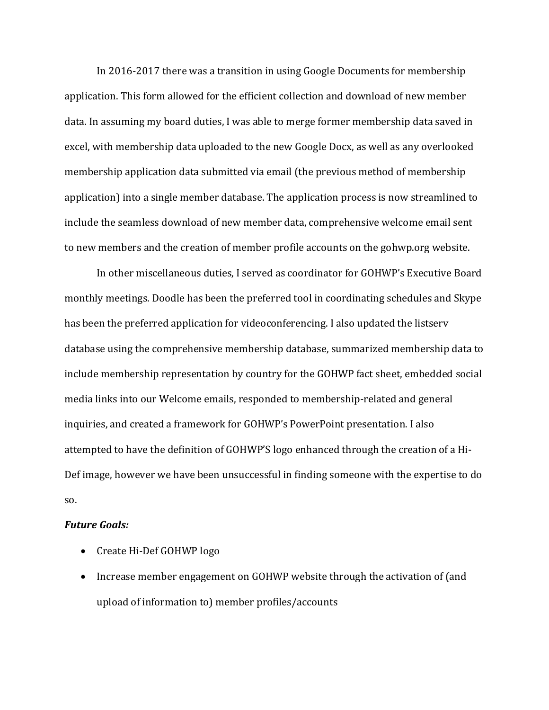In 2016-2017 there was a transition in using Google Documents for membership application. This form allowed for the efficient collection and download of new member data. In assuming my board duties, I was able to merge former membership data saved in excel, with membership data uploaded to the new Google Docx, as well as any overlooked membership application data submitted via email (the previous method of membership application) into a single member database. The application process is now streamlined to include the seamless download of new member data, comprehensive welcome email sent to new members and the creation of member profile accounts on the gohwp.org website.

In other miscellaneous duties, I served as coordinator for GOHWP's Executive Board monthly meetings. Doodle has been the preferred tool in coordinating schedules and Skype has been the preferred application for videoconferencing. I also updated the listserv database using the comprehensive membership database, summarized membership data to include membership representation by country for the GOHWP fact sheet, embedded social media links into our Welcome emails, responded to membership-related and general inquiries, and created a framework for GOHWP's PowerPoint presentation. I also attempted to have the definition of GOHWP'S logo enhanced through the creation of a Hi-Def image, however we have been unsuccessful in finding someone with the expertise to do so.

#### *Future Goals:*

- Create Hi-Def GOHWP logo
- Increase member engagement on GOHWP website through the activation of (and upload of information to) member profiles/accounts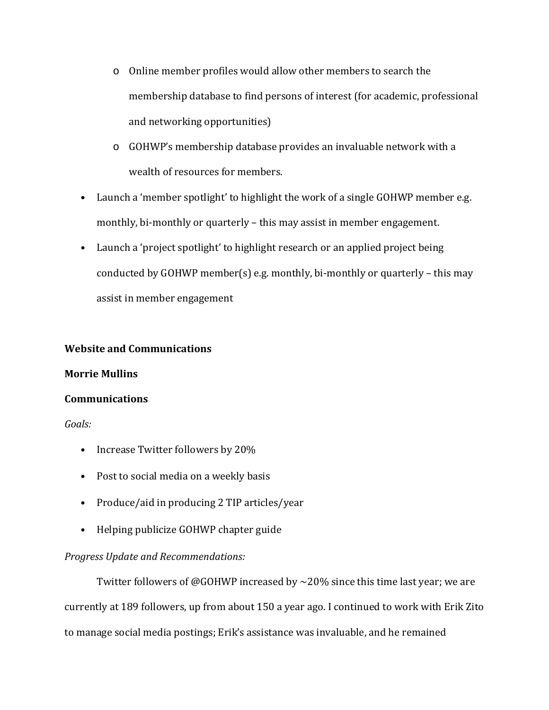- o Online member profiles would allow other members to search the membership database to find persons of interest (for academic, professional and networking opportunities)
- o GOHWP's membership database provides an invaluable network with a wealth of resources for members.
- Launch a 'member spotlight' to highlight the work of a single GOHWP member e.g. monthly, bi-monthly or quarterly – this may assist in member engagement.
- Launch a 'project spotlight' to highlight research or an applied project being conducted by GOHWP member(s) e.g. monthly, bi-monthly or quarterly – this may assist in member engagement

### **Website and Communications**

### **Morrie Mullins**

### **Communications**

### *Goals:*

- Increase Twitter followers by 20%
- Post to social media on a weekly basis
- Produce/aid in producing 2 TIP articles/year
- Helping publicize GOHWP chapter guide

# *Progress Update and Recommendations:*

Twitter followers of @GOHWP increased by  $\sim$  20% since this time last year; we are currently at 189 followers, up from about 150 a year ago. I continued to work with Erik Zito to manage social media postings; Erik's assistance was invaluable, and he remained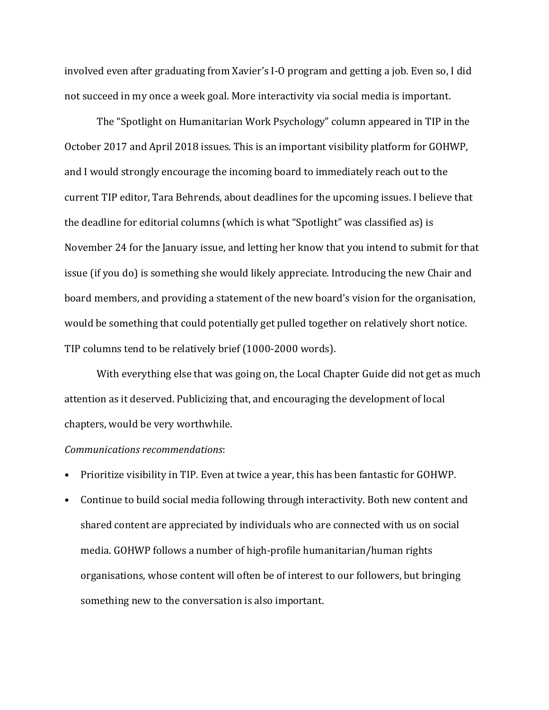involved even after graduating from Xavier's I-O program and getting a job. Even so, I did not succeed in my once a week goal. More interactivity via social media is important.

The "Spotlight on Humanitarian Work Psychology" column appeared in TIP in the October 2017 and April 2018 issues. This is an important visibility platform for GOHWP, and I would strongly encourage the incoming board to immediately reach out to the current TIP editor, Tara Behrends, about deadlines for the upcoming issues. I believe that the deadline for editorial columns (which is what "Spotlight" was classified as) is November 24 for the January issue, and letting her know that you intend to submit for that issue (if you do) is something she would likely appreciate. Introducing the new Chair and board members, and providing a statement of the new board's vision for the organisation, would be something that could potentially get pulled together on relatively short notice. TIP columns tend to be relatively brief (1000-2000 words).

With everything else that was going on, the Local Chapter Guide did not get as much attention as it deserved. Publicizing that, and encouraging the development of local chapters, would be very worthwhile.

#### *Communications recommendations*:

- Prioritize visibility in TIP. Even at twice a year, this has been fantastic for GOHWP.
- Continue to build social media following through interactivity. Both new content and shared content are appreciated by individuals who are connected with us on social media. GOHWP follows a number of high-profile humanitarian/human rights organisations, whose content will often be of interest to our followers, but bringing something new to the conversation is also important.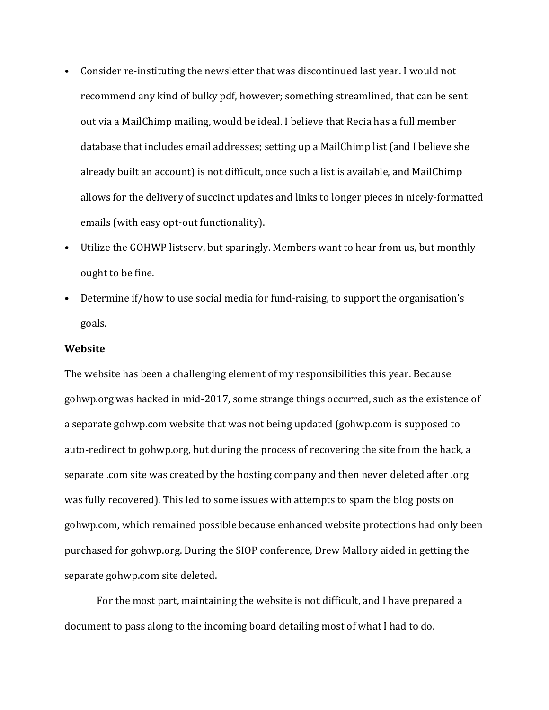- Consider re-instituting the newsletter that was discontinued last year. I would not recommend any kind of bulky pdf, however; something streamlined, that can be sent out via a MailChimp mailing, would be ideal. I believe that Recia has a full member database that includes email addresses; setting up a MailChimp list (and I believe she already built an account) is not difficult, once such a list is available, and MailChimp allows for the delivery of succinct updates and links to longer pieces in nicely-formatted emails (with easy opt-out functionality).
- Utilize the GOHWP listserv, but sparingly. Members want to hear from us, but monthly ought to be fine.
- Determine if/how to use social media for fund-raising, to support the organisation's goals.

#### **Website**

The website has been a challenging element of my responsibilities this year. Because gohwp.org was hacked in mid-2017, some strange things occurred, such as the existence of a separate gohwp.com website that was not being updated (gohwp.com is supposed to auto-redirect to gohwp.org, but during the process of recovering the site from the hack, a separate .com site was created by the hosting company and then never deleted after .org was fully recovered). This led to some issues with attempts to spam the blog posts on gohwp.com, which remained possible because enhanced website protections had only been purchased for gohwp.org. During the SIOP conference, Drew Mallory aided in getting the separate gohwp.com site deleted.

For the most part, maintaining the website is not difficult, and I have prepared a document to pass along to the incoming board detailing most of what I had to do.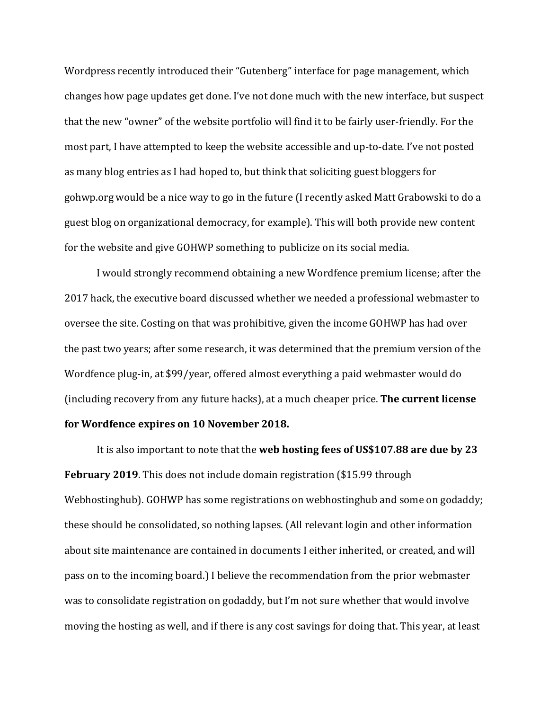Wordpress recently introduced their "Gutenberg" interface for page management, which changes how page updates get done. I've not done much with the new interface, but suspect that the new "owner" of the website portfolio will find it to be fairly user-friendly. For the most part, I have attempted to keep the website accessible and up-to-date. I've not posted as many blog entries as I had hoped to, but think that soliciting guest bloggers for gohwp.org would be a nice way to go in the future (I recently asked Matt Grabowski to do a guest blog on organizational democracy, for example). This will both provide new content for the website and give GOHWP something to publicize on its social media.

I would strongly recommend obtaining a new Wordfence premium license; after the 2017 hack, the executive board discussed whether we needed a professional webmaster to oversee the site. Costing on that was prohibitive, given the income GOHWP has had over the past two years; after some research, it was determined that the premium version of the Wordfence plug-in, at \$99/year, offered almost everything a paid webmaster would do (including recovery from any future hacks), at a much cheaper price. **The current license for Wordfence expires on 10 November 2018.** 

It is also important to note that the **web hosting fees of US\$107.88 are due by 23 February 2019**. This does not include domain registration (\$15.99 through Webhostinghub). GOHWP has some registrations on webhostinghub and some on godaddy; these should be consolidated, so nothing lapses. (All relevant login and other information about site maintenance are contained in documents I either inherited, or created, and will pass on to the incoming board.) I believe the recommendation from the prior webmaster was to consolidate registration on godaddy, but I'm not sure whether that would involve moving the hosting as well, and if there is any cost savings for doing that. This year, at least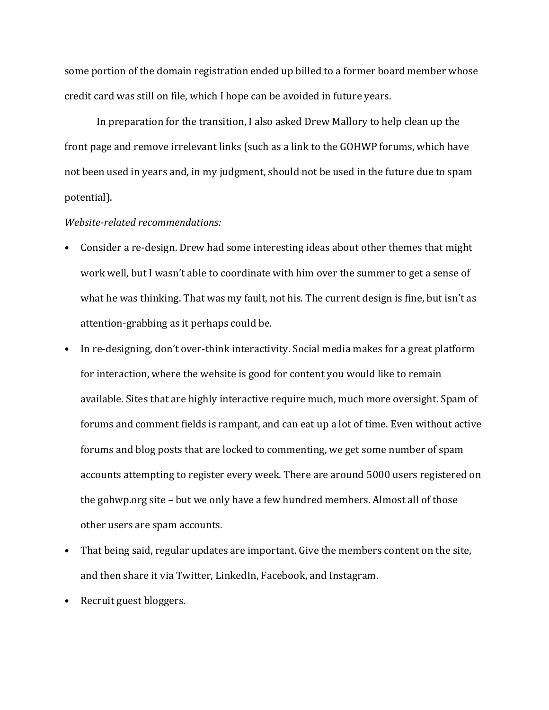some portion of the domain registration ended up billed to a former board member whose credit card was still on file, which I hope can be avoided in future years.

In preparation for the transition, I also asked Drew Mallory to help clean up the front page and remove irrelevant links (such as a link to the GOHWP forums, which have not been used in years and, in my judgment, should not be used in the future due to spam potential).

#### *Website-related recommendations:*

- Consider a re-design. Drew had some interesting ideas about other themes that might work well, but I wasn't able to coordinate with him over the summer to get a sense of what he was thinking. That was my fault, not his. The current design is fine, but isn't as attention-grabbing as it perhaps could be.
- In re-designing, don't over-think interactivity. Social media makes for a great platform for interaction, where the website is good for content you would like to remain available. Sites that are highly interactive require much, much more oversight. Spam of forums and comment fields is rampant, and can eat up a lot of time. Even without active forums and blog posts that are locked to commenting, we get some number of spam accounts attempting to register every week. There are around 5000 users registered on the gohwp.org site – but we only have a few hundred members. Almost all of those other users are spam accounts.
- That being said, regular updates are important. Give the members content on the site, and then share it via Twitter, LinkedIn, Facebook, and Instagram.
- Recruit guest bloggers.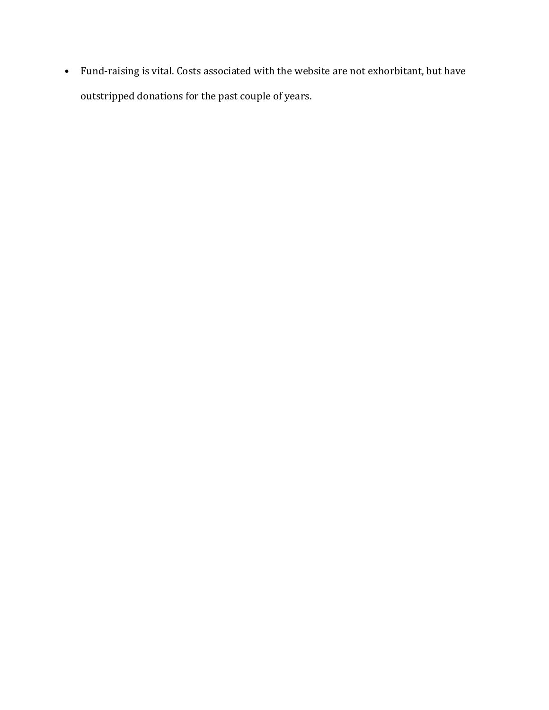• Fund-raising is vital. Costs associated with the website are not exhorbitant, but have outstripped donations for the past couple of years.